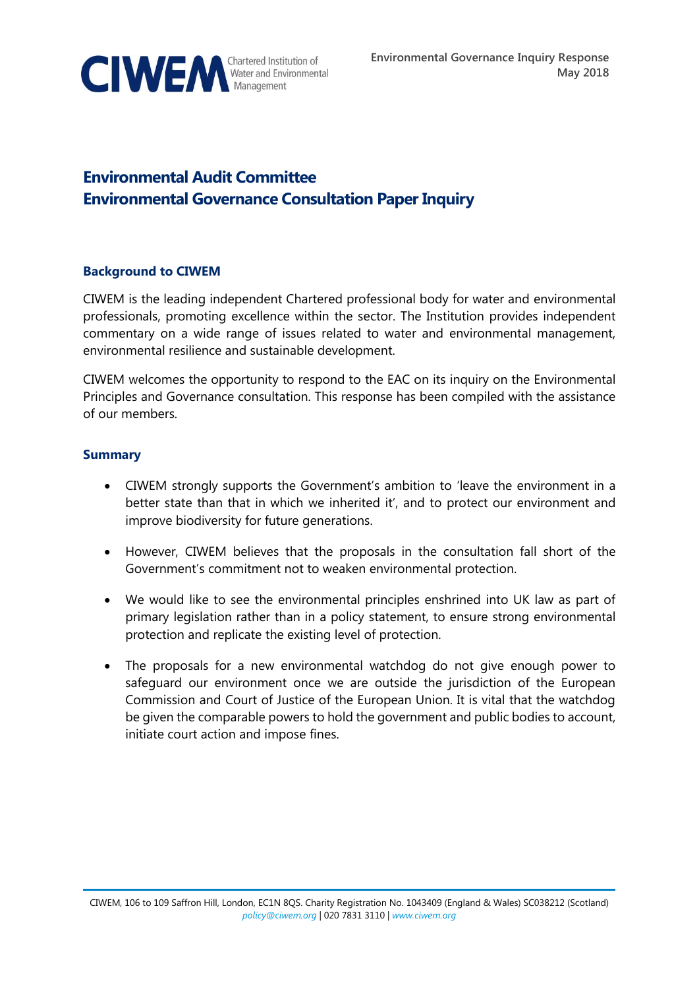

# **Environmental Audit Committee Environmental Governance Consultation Paper Inquiry**

#### **Background to CIWEM**

CIWEM is the leading independent Chartered professional body for water and environmental professionals, promoting excellence within the sector. The Institution provides independent commentary on a wide range of issues related to water and environmental management, environmental resilience and sustainable development.

CIWEM welcomes the opportunity to respond to the EAC on its inquiry on the Environmental Principles and Governance consultation. This response has been compiled with the assistance of our members.

#### **Summary**

- CIWEM strongly supports the Government's ambition to 'leave the environment in a better state than that in which we inherited it', and to protect our environment and improve biodiversity for future generations.
- However, CIWEM believes that the proposals in the consultation fall short of the Government's commitment not to weaken environmental protection.
- We would like to see the environmental principles enshrined into UK law as part of primary legislation rather than in a policy statement, to ensure strong environmental protection and replicate the existing level of protection.
- The proposals for a new environmental watchdog do not give enough power to safeguard our environment once we are outside the jurisdiction of the European Commission and Court of Justice of the European Union. It is vital that the watchdog be given the comparable powers to hold the government and public bodies to account, initiate court action and impose fines.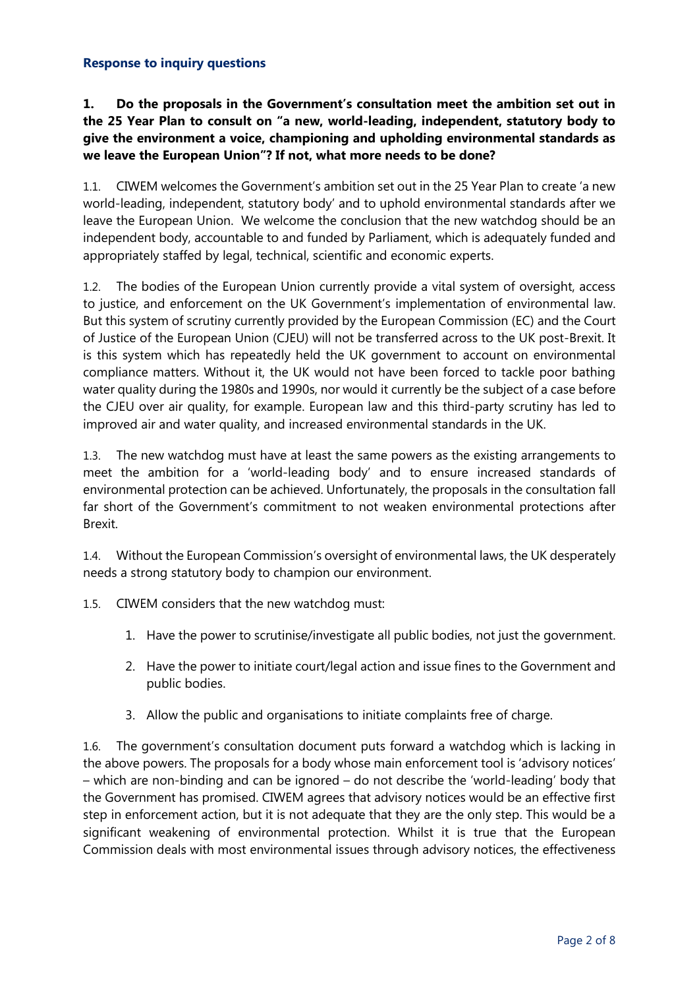#### **Response to inquiry questions**

## **1. Do the proposals in the Government's consultation meet the ambition set out in the 25 Year Plan to consult on "a new, world-leading, independent, statutory body to give the environment a voice, championing and upholding environmental standards as we leave the European Union"? If not, what more needs to be done?**

1.1. CIWEM welcomes the Government's ambition set out in the 25 Year Plan to create 'a new world-leading, independent, statutory body' and to uphold environmental standards after we leave the European Union. We welcome the conclusion that the new watchdog should be an independent body, accountable to and funded by Parliament, which is adequately funded and appropriately staffed by legal, technical, scientific and economic experts.

1.2. The bodies of the European Union currently provide a vital system of oversight, access to justice, and enforcement on the UK Government's implementation of environmental law. But this system of scrutiny currently provided by the European Commission (EC) and the Court of Justice of the European Union (CJEU) will not be transferred across to the UK post-Brexit. It is this system which has repeatedly held the UK government to account on environmental compliance matters. Without it, the UK would not have been forced to tackle poor bathing water quality during the 1980s and 1990s, nor would it currently be the subject of a case before the CJEU over air quality, for example. European law and this third-party scrutiny has led to improved air and water quality, and increased environmental standards in the UK.

1.3. The new watchdog must have at least the same powers as the existing arrangements to meet the ambition for a 'world-leading body' and to ensure increased standards of environmental protection can be achieved. Unfortunately, the proposals in the consultation fall far short of the Government's commitment to not weaken environmental protections after Brexit.

1.4. Without the European Commission's oversight of environmental laws, the UK desperately needs a strong statutory body to champion our environment.

1.5. CIWEM considers that the new watchdog must:

- 1. Have the power to scrutinise/investigate all public bodies, not just the government.
- 2. Have the power to initiate court/legal action and issue fines to the Government and public bodies.
- 3. Allow the public and organisations to initiate complaints free of charge.

1.6. The government's consultation document puts forward a watchdog which is lacking in the above powers. The proposals for a body whose main enforcement tool is 'advisory notices' – which are non-binding and can be ignored – do not describe the 'world-leading' body that the Government has promised. CIWEM agrees that advisory notices would be an effective first step in enforcement action, but it is not adequate that they are the only step. This would be a significant weakening of environmental protection. Whilst it is true that the European Commission deals with most environmental issues through advisory notices, the effectiveness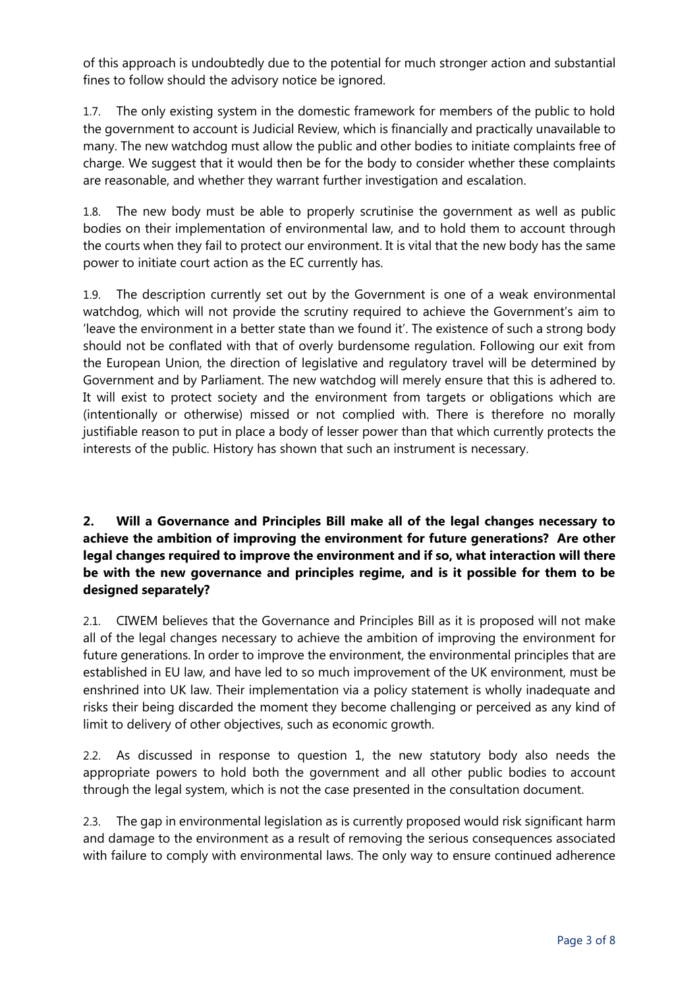of this approach is undoubtedly due to the potential for much stronger action and substantial fines to follow should the advisory notice be ignored.

1.7. The only existing system in the domestic framework for members of the public to hold the government to account is Judicial Review, which is financially and practically unavailable to many. The new watchdog must allow the public and other bodies to initiate complaints free of charge. We suggest that it would then be for the body to consider whether these complaints are reasonable, and whether they warrant further investigation and escalation.

1.8. The new body must be able to properly scrutinise the government as well as public bodies on their implementation of environmental law, and to hold them to account through the courts when they fail to protect our environment. It is vital that the new body has the same power to initiate court action as the EC currently has.

1.9. The description currently set out by the Government is one of a weak environmental watchdog, which will not provide the scrutiny required to achieve the Government's aim to 'leave the environment in a better state than we found it'. The existence of such a strong body should not be conflated with that of overly burdensome regulation. Following our exit from the European Union, the direction of legislative and regulatory travel will be determined by Government and by Parliament. The new watchdog will merely ensure that this is adhered to. It will exist to protect society and the environment from targets or obligations which are (intentionally or otherwise) missed or not complied with. There is therefore no morally justifiable reason to put in place a body of lesser power than that which currently protects the interests of the public. History has shown that such an instrument is necessary.

## **2. Will a Governance and Principles Bill make all of the legal changes necessary to achieve the ambition of improving the environment for future generations? Are other legal changes required to improve the environment and if so, what interaction will there be with the new governance and principles regime, and is it possible for them to be designed separately?**

2.1. CIWEM believes that the Governance and Principles Bill as it is proposed will not make all of the legal changes necessary to achieve the ambition of improving the environment for future generations. In order to improve the environment, the environmental principles that are established in EU law, and have led to so much improvement of the UK environment, must be enshrined into UK law. Their implementation via a policy statement is wholly inadequate and risks their being discarded the moment they become challenging or perceived as any kind of limit to delivery of other objectives, such as economic growth.

2.2. As discussed in response to question 1, the new statutory body also needs the appropriate powers to hold both the government and all other public bodies to account through the legal system, which is not the case presented in the consultation document.

2.3. The gap in environmental legislation as is currently proposed would risk significant harm and damage to the environment as a result of removing the serious consequences associated with failure to comply with environmental laws. The only way to ensure continued adherence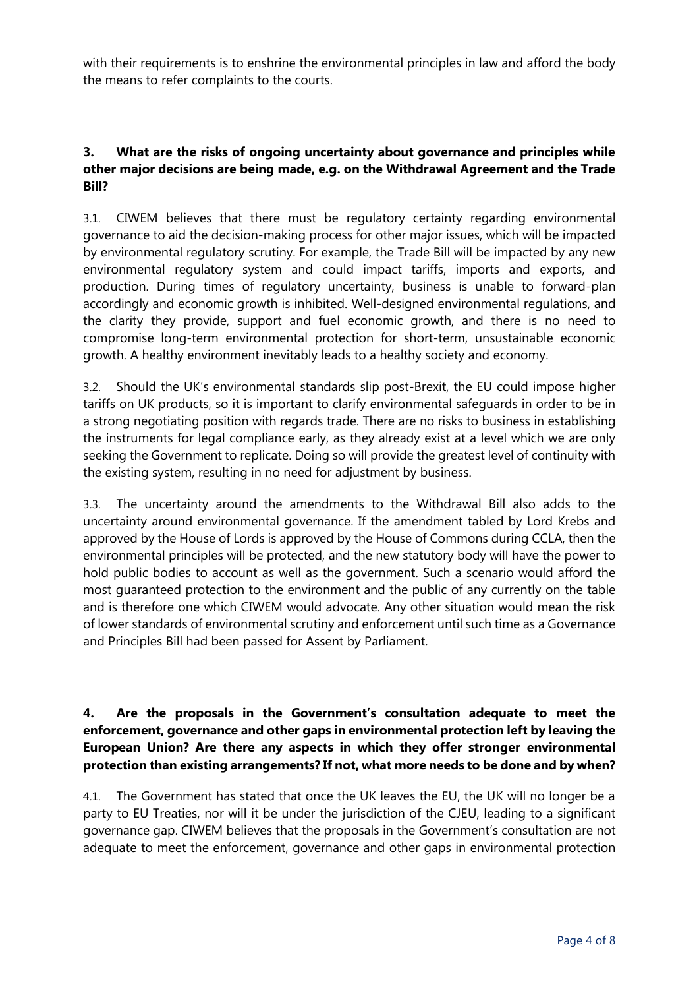with their requirements is to enshrine the environmental principles in law and afford the body the means to refer complaints to the courts.

### **3. What are the risks of ongoing uncertainty about governance and principles while other major decisions are being made, e.g. on the Withdrawal Agreement and the Trade Bill?**

3.1. CIWEM believes that there must be regulatory certainty regarding environmental governance to aid the decision-making process for other major issues, which will be impacted by environmental regulatory scrutiny. For example, the Trade Bill will be impacted by any new environmental regulatory system and could impact tariffs, imports and exports, and production. During times of regulatory uncertainty, business is unable to forward-plan accordingly and economic growth is inhibited. Well-designed environmental regulations, and the clarity they provide, support and fuel economic growth, and there is no need to compromise long-term environmental protection for short-term, unsustainable economic growth. A healthy environment inevitably leads to a healthy society and economy.

3.2. Should the UK's environmental standards slip post-Brexit, the EU could impose higher tariffs on UK products, so it is important to clarify environmental safeguards in order to be in a strong negotiating position with regards trade. There are no risks to business in establishing the instruments for legal compliance early, as they already exist at a level which we are only seeking the Government to replicate. Doing so will provide the greatest level of continuity with the existing system, resulting in no need for adjustment by business.

3.3. The uncertainty around the amendments to the Withdrawal Bill also adds to the uncertainty around environmental governance. If the amendment tabled by Lord Krebs and approved by the House of Lords is approved by the House of Commons during CCLA, then the environmental principles will be protected, and the new statutory body will have the power to hold public bodies to account as well as the government. Such a scenario would afford the most guaranteed protection to the environment and the public of any currently on the table and is therefore one which CIWEM would advocate. Any other situation would mean the risk of lower standards of environmental scrutiny and enforcement until such time as a Governance and Principles Bill had been passed for Assent by Parliament.

# **4. Are the proposals in the Government's consultation adequate to meet the enforcement, governance and other gaps in environmental protection left by leaving the European Union? Are there any aspects in which they offer stronger environmental protection than existing arrangements? If not, what more needs to be done and by when?**

4.1. The Government has stated that once the UK leaves the EU, the UK will no longer be a party to EU Treaties, nor will it be under the jurisdiction of the CJEU, leading to a significant governance gap. CIWEM believes that the proposals in the Government's consultation are not adequate to meet the enforcement, governance and other gaps in environmental protection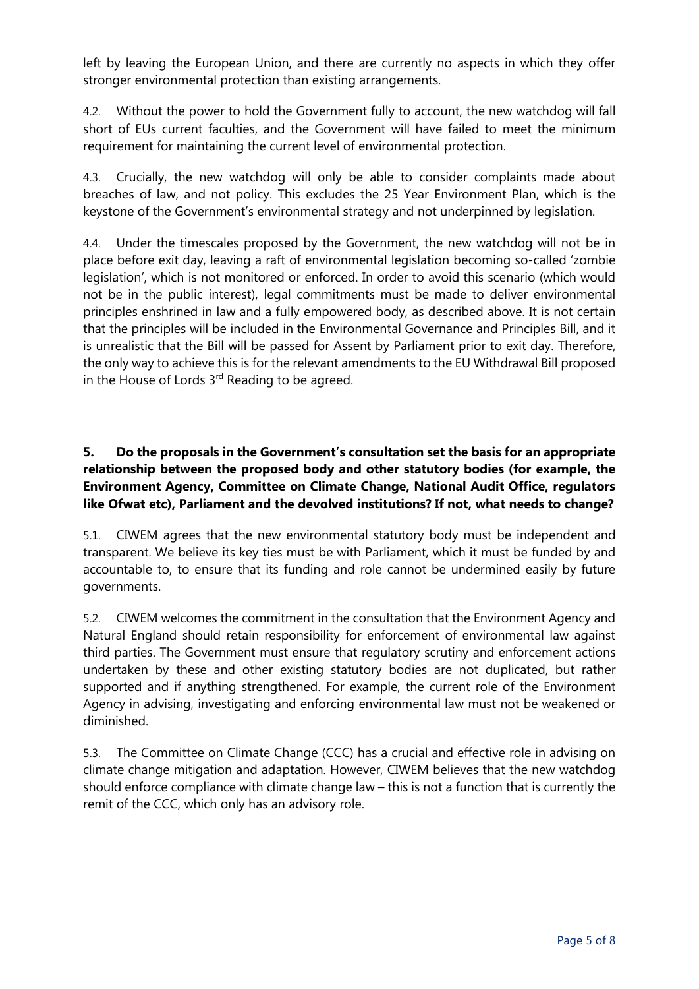left by leaving the European Union, and there are currently no aspects in which they offer stronger environmental protection than existing arrangements.

4.2. Without the power to hold the Government fully to account, the new watchdog will fall short of EUs current faculties, and the Government will have failed to meet the minimum requirement for maintaining the current level of environmental protection.

4.3. Crucially, the new watchdog will only be able to consider complaints made about breaches of law, and not policy. This excludes the 25 Year Environment Plan, which is the keystone of the Government's environmental strategy and not underpinned by legislation.

4.4. Under the timescales proposed by the Government, the new watchdog will not be in place before exit day, leaving a raft of environmental legislation becoming so-called 'zombie legislation', which is not monitored or enforced. In order to avoid this scenario (which would not be in the public interest), legal commitments must be made to deliver environmental principles enshrined in law and a fully empowered body, as described above. It is not certain that the principles will be included in the Environmental Governance and Principles Bill, and it is unrealistic that the Bill will be passed for Assent by Parliament prior to exit day. Therefore, the only way to achieve this is for the relevant amendments to the EU Withdrawal Bill proposed in the House of Lords  $3<sup>rd</sup>$  Reading to be agreed.

# **5. Do the proposals in the Government's consultation set the basis for an appropriate relationship between the proposed body and other statutory bodies (for example, the Environment Agency, Committee on Climate Change, National Audit Office, regulators like Ofwat etc), Parliament and the devolved institutions? If not, what needs to change?**

5.1. CIWEM agrees that the new environmental statutory body must be independent and transparent. We believe its key ties must be with Parliament, which it must be funded by and accountable to, to ensure that its funding and role cannot be undermined easily by future governments.

5.2. CIWEM welcomes the commitment in the consultation that the Environment Agency and Natural England should retain responsibility for enforcement of environmental law against third parties. The Government must ensure that regulatory scrutiny and enforcement actions undertaken by these and other existing statutory bodies are not duplicated, but rather supported and if anything strengthened. For example, the current role of the Environment Agency in advising, investigating and enforcing environmental law must not be weakened or diminished.

5.3. The Committee on Climate Change (CCC) has a crucial and effective role in advising on climate change mitigation and adaptation. However, CIWEM believes that the new watchdog should enforce compliance with climate change law – this is not a function that is currently the remit of the CCC, which only has an advisory role.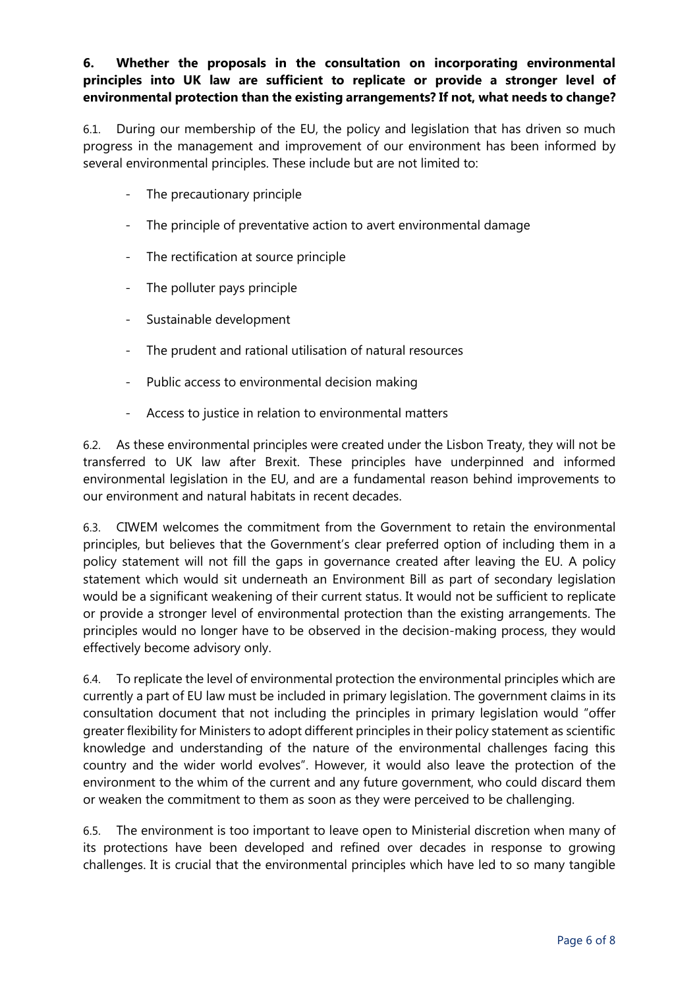# **6. Whether the proposals in the consultation on incorporating environmental principles into UK law are sufficient to replicate or provide a stronger level of environmental protection than the existing arrangements? If not, what needs to change?**

6.1. During our membership of the EU, the policy and legislation that has driven so much progress in the management and improvement of our environment has been informed by several environmental principles. These include but are not limited to:

- The precautionary principle
- The principle of preventative action to avert environmental damage
- The rectification at source principle
- The polluter pays principle
- Sustainable development
- The prudent and rational utilisation of natural resources
- Public access to environmental decision making
- Access to justice in relation to environmental matters

6.2. As these environmental principles were created under the Lisbon Treaty, they will not be transferred to UK law after Brexit. These principles have underpinned and informed environmental legislation in the EU, and are a fundamental reason behind improvements to our environment and natural habitats in recent decades.

6.3. CIWEM welcomes the commitment from the Government to retain the environmental principles, but believes that the Government's clear preferred option of including them in a policy statement will not fill the gaps in governance created after leaving the EU. A policy statement which would sit underneath an Environment Bill as part of secondary legislation would be a significant weakening of their current status. It would not be sufficient to replicate or provide a stronger level of environmental protection than the existing arrangements. The principles would no longer have to be observed in the decision-making process, they would effectively become advisory only.

6.4. To replicate the level of environmental protection the environmental principles which are currently a part of EU law must be included in primary legislation. The government claims in its consultation document that not including the principles in primary legislation would "offer greater flexibility for Ministers to adopt different principles in their policy statement as scientific knowledge and understanding of the nature of the environmental challenges facing this country and the wider world evolves". However, it would also leave the protection of the environment to the whim of the current and any future government, who could discard them or weaken the commitment to them as soon as they were perceived to be challenging.

6.5. The environment is too important to leave open to Ministerial discretion when many of its protections have been developed and refined over decades in response to growing challenges. It is crucial that the environmental principles which have led to so many tangible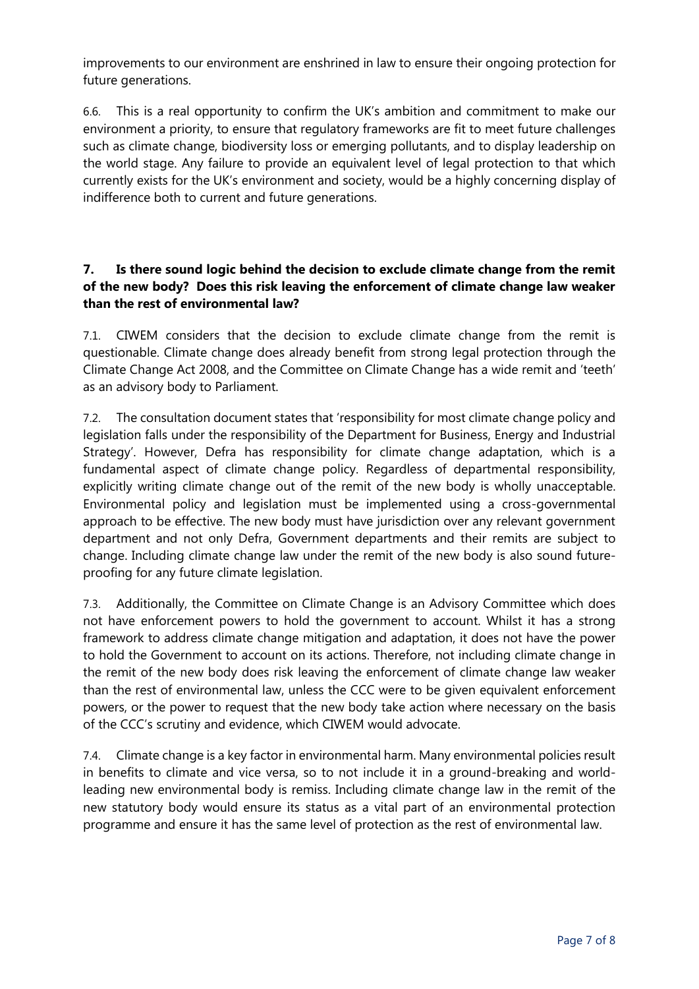improvements to our environment are enshrined in law to ensure their ongoing protection for future generations.

6.6. This is a real opportunity to confirm the UK's ambition and commitment to make our environment a priority, to ensure that regulatory frameworks are fit to meet future challenges such as climate change, biodiversity loss or emerging pollutants, and to display leadership on the world stage. Any failure to provide an equivalent level of legal protection to that which currently exists for the UK's environment and society, would be a highly concerning display of indifference both to current and future generations.

### **7. Is there sound logic behind the decision to exclude climate change from the remit of the new body? Does this risk leaving the enforcement of climate change law weaker than the rest of environmental law?**

7.1. CIWEM considers that the decision to exclude climate change from the remit is questionable. Climate change does already benefit from strong legal protection through the Climate Change Act 2008, and the Committee on Climate Change has a wide remit and 'teeth' as an advisory body to Parliament.

7.2. The consultation document states that 'responsibility for most climate change policy and legislation falls under the responsibility of the Department for Business, Energy and Industrial Strategy'. However, Defra has responsibility for climate change adaptation, which is a fundamental aspect of climate change policy. Regardless of departmental responsibility, explicitly writing climate change out of the remit of the new body is wholly unacceptable. Environmental policy and legislation must be implemented using a cross-governmental approach to be effective. The new body must have jurisdiction over any relevant government department and not only Defra, Government departments and their remits are subject to change. Including climate change law under the remit of the new body is also sound futureproofing for any future climate legislation.

7.3. Additionally, the Committee on Climate Change is an Advisory Committee which does not have enforcement powers to hold the government to account. Whilst it has a strong framework to address climate change mitigation and adaptation, it does not have the power to hold the Government to account on its actions. Therefore, not including climate change in the remit of the new body does risk leaving the enforcement of climate change law weaker than the rest of environmental law, unless the CCC were to be given equivalent enforcement powers, or the power to request that the new body take action where necessary on the basis of the CCC's scrutiny and evidence, which CIWEM would advocate.

7.4. Climate change is a key factor in environmental harm. Many environmental policies result in benefits to climate and vice versa, so to not include it in a ground-breaking and worldleading new environmental body is remiss. Including climate change law in the remit of the new statutory body would ensure its status as a vital part of an environmental protection programme and ensure it has the same level of protection as the rest of environmental law.